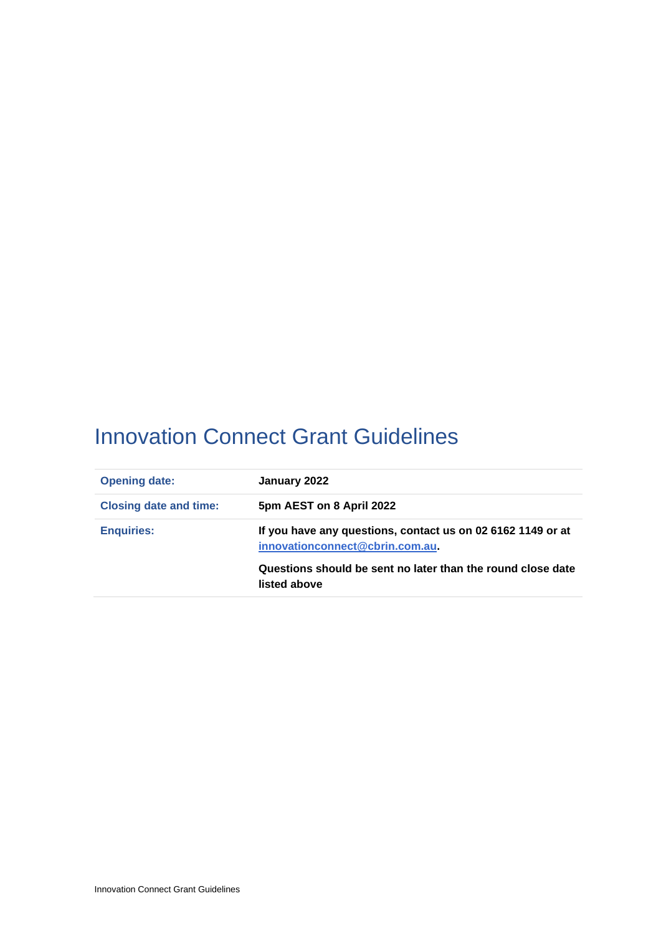# <span id="page-0-0"></span>Innovation Connect Grant Guidelines

| January 2022                                                                                                                                                                  |  |  |
|-------------------------------------------------------------------------------------------------------------------------------------------------------------------------------|--|--|
| 5pm AEST on 8 April 2022                                                                                                                                                      |  |  |
| If you have any questions, contact us on 02 6162 1149 or at<br>innovationconnect@cbrin.com.au.<br>Questions should be sent no later than the round close date<br>listed above |  |  |
|                                                                                                                                                                               |  |  |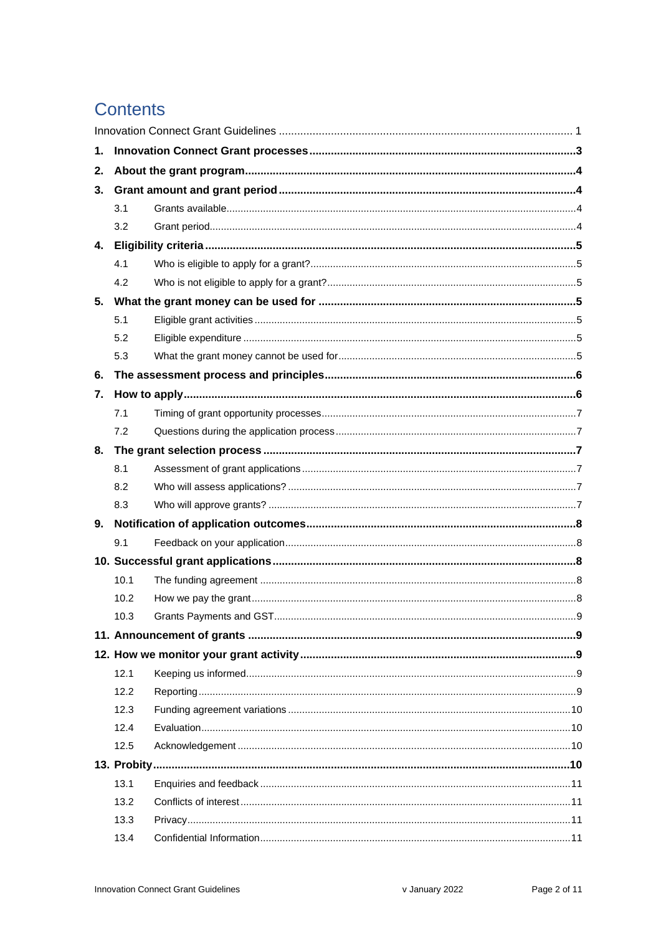# **Contents**

| 1. |      |  |  |  |  |
|----|------|--|--|--|--|
| 2. |      |  |  |  |  |
| 3. |      |  |  |  |  |
|    | 3.1  |  |  |  |  |
|    | 3.2  |  |  |  |  |
|    |      |  |  |  |  |
|    | 4.1  |  |  |  |  |
|    | 4.2  |  |  |  |  |
| 5. |      |  |  |  |  |
|    | 5.1  |  |  |  |  |
|    | 5.2  |  |  |  |  |
|    | 5.3  |  |  |  |  |
| 6. |      |  |  |  |  |
| 7. |      |  |  |  |  |
|    | 7.1  |  |  |  |  |
|    | 7.2  |  |  |  |  |
| 8. |      |  |  |  |  |
|    | 8.1  |  |  |  |  |
|    | 8.2  |  |  |  |  |
|    | 8.3  |  |  |  |  |
|    |      |  |  |  |  |
|    | 9.1  |  |  |  |  |
|    |      |  |  |  |  |
|    | 10.1 |  |  |  |  |
|    | 10.2 |  |  |  |  |
|    | 10.3 |  |  |  |  |
|    |      |  |  |  |  |
|    |      |  |  |  |  |
|    | 12.1 |  |  |  |  |
|    | 12.2 |  |  |  |  |
|    | 12.3 |  |  |  |  |
|    | 12.4 |  |  |  |  |
|    | 12.5 |  |  |  |  |
|    |      |  |  |  |  |
|    | 13.1 |  |  |  |  |
|    | 13.2 |  |  |  |  |
|    | 13.3 |  |  |  |  |
|    | 13.4 |  |  |  |  |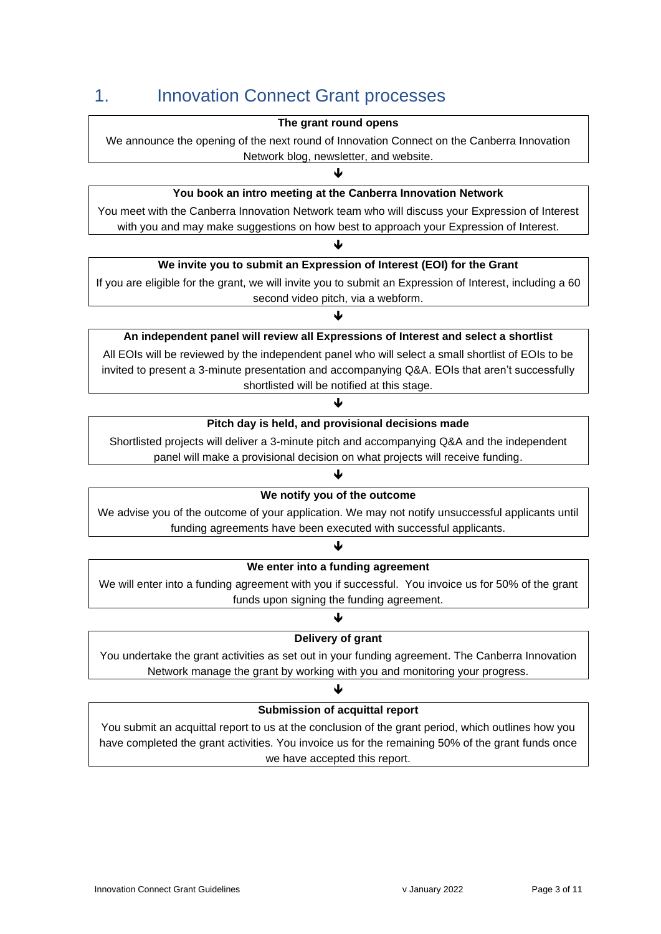# <span id="page-2-0"></span>1. Innovation Connect Grant processes

#### **The grant round opens**

We announce the opening of the next round of Innovation Connect on the Canberra Innovation Network blog, newsletter, and website.

J

### **You book an intro meeting at the Canberra Innovation Network**

You meet with the Canberra Innovation Network team who will discuss your Expression of Interest with you and may make suggestions on how best to approach your Expression of Interest.

#### J

#### **We invite you to submit an Expression of Interest (EOI) for the Grant**

If you are eligible for the grant, we will invite you to submit an Expression of Interest, including a 60 second video pitch, via a webform.

#### $\blacktriangledown$

### **An independent panel will review all Expressions of Interest and select a shortlist**

All EOIs will be reviewed by the independent panel who will select a small shortlist of EOIs to be invited to present a 3-minute presentation and accompanying Q&A. EOIs that aren't successfully shortlisted will be notified at this stage.

### $\blacklozenge$

#### **Pitch day is held, and provisional decisions made**

Shortlisted projects will deliver a 3-minute pitch and accompanying Q&A and the independent panel will make a provisional decision on what projects will receive funding.

### 业

### **We notify you of the outcome**

We advise you of the outcome of your application. We may not notify unsuccessful applicants until funding agreements have been executed with successful applicants.

### J

#### **We enter into a funding agreement**

We will enter into a funding agreement with you if successful. You invoice us for 50% of the grant funds upon signing the funding agreement.

### ↓ **Delivery of grant**

You undertake the grant activities as set out in your funding agreement. The Canberra Innovation Network manage the grant by working with you and monitoring your progress.

### ♦

### **Submission of acquittal report**

You submit an acquittal report to us at the conclusion of the grant period, which outlines how you have completed the grant activities. You invoice us for the remaining 50% of the grant funds once we have accepted this report.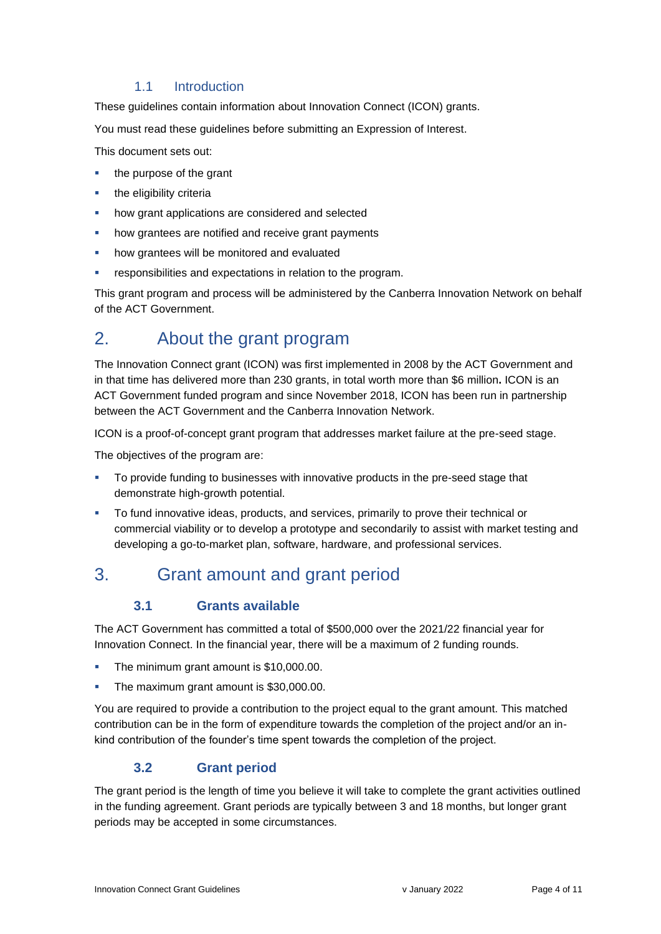### 1.1 Introduction

These guidelines contain information about Innovation Connect (ICON) grants.

You must read these guidelines before submitting an Expression of Interest.

This document sets out:

- the purpose of the grant
- the eligibility criteria
- how grant applications are considered and selected
- how grantees are notified and receive grant payments
- how grantees will be monitored and evaluated
- responsibilities and expectations in relation to the program.

This grant program and process will be administered by the Canberra Innovation Network on behalf of the ACT Government.

# <span id="page-3-0"></span>2. About the grant program

The Innovation Connect grant (ICON) was first implemented in 2008 by the ACT Government and in that time has delivered more than 230 grants, in total worth more than \$6 million**.** ICON is an ACT Government funded program and since November 2018, ICON has been run in partnership between the ACT Government and the Canberra Innovation Network.

ICON is a proof-of-concept grant program that addresses market failure at the pre-seed stage.

The objectives of the program are:

- To provide funding to businesses with innovative products in the pre-seed stage that demonstrate high-growth potential.
- To fund innovative ideas, products, and services, primarily to prove their technical or commercial viability or to develop a prototype and secondarily to assist with market testing and developing a go-to-market plan, software, hardware, and professional services.

# <span id="page-3-2"></span><span id="page-3-1"></span>3. Grant amount and grant period

### **3.1 Grants available**

The ACT Government has committed a total of \$500,000 over the 2021/22 financial year for Innovation Connect. In the financial year, there will be a maximum of 2 funding rounds.

- The minimum grant amount is \$10,000.00.
- The maximum grant amount is \$30,000.00.

You are required to provide a contribution to the project equal to the grant amount. This matched contribution can be in the form of expenditure towards the completion of the project and/or an inkind contribution of the founder's time spent towards the completion of the project.

### **3.2 Grant period**

<span id="page-3-3"></span>The grant period is the length of time you believe it will take to complete the grant activities outlined in the funding agreement. Grant periods are typically between 3 and 18 months, but longer grant periods may be accepted in some circumstances.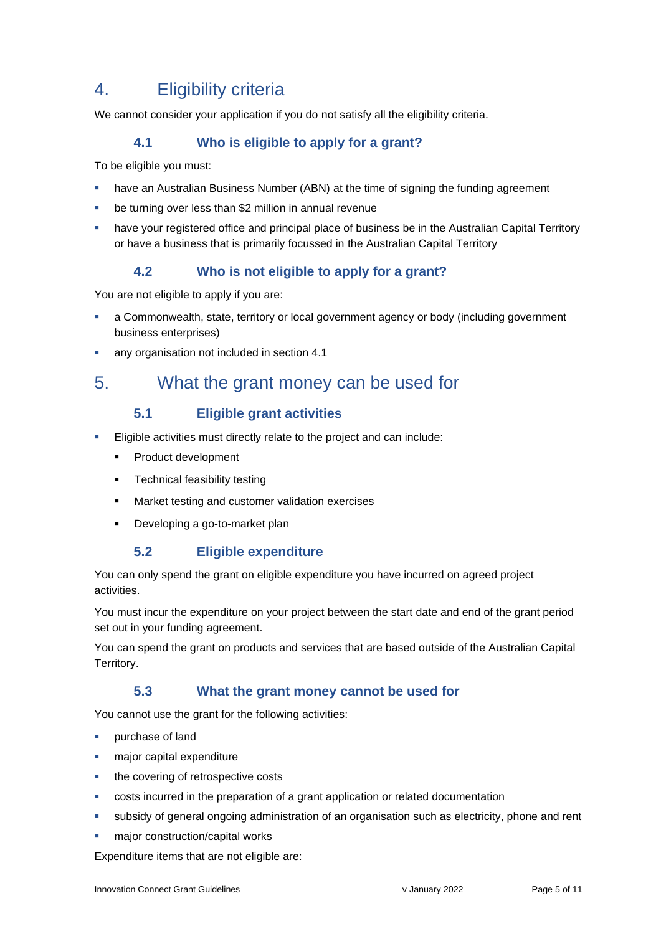# <span id="page-4-0"></span>4. Eligibility criteria

<span id="page-4-1"></span>We cannot consider your application if you do not satisfy all the eligibility criteria.

### **4.1 Who is eligible to apply for a grant?**

To be eligible you must:

- have an Australian Business Number (ABN) at the time of signing the funding agreement
- be turning over less than \$2 million in annual revenue
- have your registered office and principal place of business be in the Australian Capital Territory or have a business that is primarily focussed in the Australian Capital Territory

### **4.2 Who is not eligible to apply for a grant?**

<span id="page-4-2"></span>You are not eligible to apply if you are:

- a Commonwealth, state, territory or local government agency or body (including government business enterprises)
- any organisation not included in section 4.1

# <span id="page-4-4"></span><span id="page-4-3"></span>5. What the grant money can be used for

### **5.1 Eligible grant activities**

- Eligible activities must directly relate to the project and can include:
	- Product development
	- **•** Technical feasibility testing
	- Market testing and customer validation exercises
	- Developing a go-to-market plan

### **5.2 Eligible expenditure**

<span id="page-4-5"></span>You can only spend the grant on eligible expenditure you have incurred on agreed project activities.

You must incur the expenditure on your project between the start date and end of the grant period set out in your funding agreement.

<span id="page-4-6"></span>You can spend the grant on products and services that are based outside of the Australian Capital Territory.

### **5.3 What the grant money cannot be used for**

You cannot use the grant for the following activities:

- purchase of land
- major capital expenditure
- the covering of retrospective costs
- costs incurred in the preparation of a grant application or related documentation
- subsidy of general ongoing administration of an organisation such as electricity, phone and rent
- major construction/capital works

Expenditure items that are not eligible are: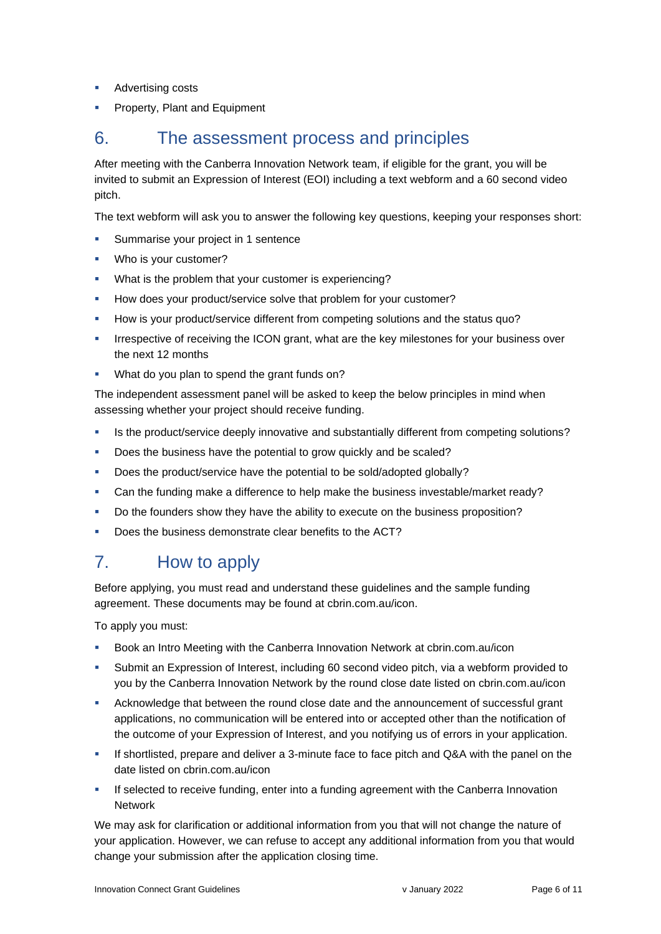- Advertising costs
- Property, Plant and Equipment

# <span id="page-5-0"></span>6. The assessment process and principles

After meeting with the Canberra Innovation Network team, if eligible for the grant, you will be invited to submit an Expression of Interest (EOI) including a text webform and a 60 second video pitch.

The text webform will ask you to answer the following key questions, keeping your responses short:

- Summarise your project in 1 sentence
- Who is your customer?
- What is the problem that your customer is experiencing?
- How does your product/service solve that problem for your customer?
- How is your product/service different from competing solutions and the status quo?
- **EXECT** Irrespective of receiving the ICON grant, what are the key milestones for your business over the next 12 months
- What do you plan to spend the grant funds on?

The independent assessment panel will be asked to keep the below principles in mind when assessing whether your project should receive funding.

- **■** Is the product/service deeply innovative and substantially different from competing solutions?
- Does the business have the potential to grow quickly and be scaled?
- Does the product/service have the potential to be sold/adopted globally?
- Can the funding make a difference to help make the business investable/market ready?
- Do the founders show they have the ability to execute on the business proposition?
- Does the business demonstrate clear benefits to the ACT?

# <span id="page-5-1"></span>7. How to apply

Before applying, you must read and understand these guidelines and the sample funding agreement. These documents may be found at cbrin.com.au/icon.

To apply you must:

- Book an Intro Meeting with the Canberra Innovation Network at cbrin.com.au/icon
- **EXECT** Submit an Expression of Interest, including 60 second video pitch, via a webform provided to you by the Canberra Innovation Network by the round close date listed on cbrin.com.au/icon
- **EXECT** Acknowledge that between the round close date and the announcement of successful grant applications, no communication will be entered into or accepted other than the notification of the outcome of your Expression of Interest, and you notifying us of errors in your application.
- **EXECT** If shortlisted, prepare and deliver a 3-minute face to face pitch and Q&A with the panel on the date listed on cbrin.com.au/icon
- **■** If selected to receive funding, enter into a funding agreement with the Canberra Innovation Network

We may ask for clarification or additional information from you that will not change the nature of your application. However, we can refuse to accept any additional information from you that would change your submission after the application closing time.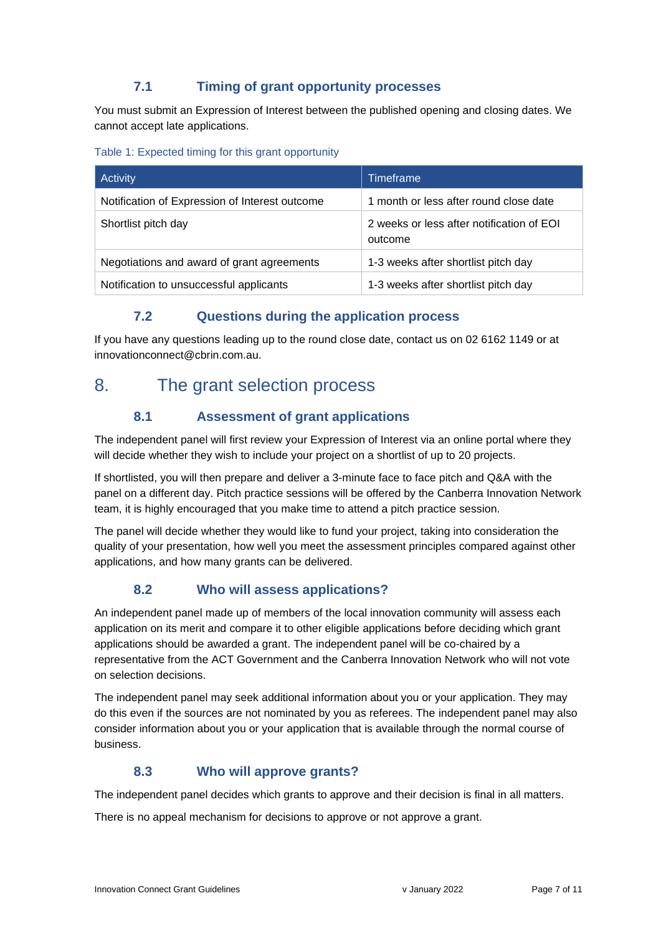## **7.1 Timing of grant opportunity processes**

<span id="page-6-0"></span>You must submit an Expression of Interest between the published opening and closing dates. We cannot accept late applications.

|  |  |  |  | Table 1: Expected timing for this grant opportunity |
|--|--|--|--|-----------------------------------------------------|
|--|--|--|--|-----------------------------------------------------|

| Activity                                       | Timeframe                                            |  |
|------------------------------------------------|------------------------------------------------------|--|
| Notification of Expression of Interest outcome | 1 month or less after round close date               |  |
| Shortlist pitch day                            | 2 weeks or less after notification of EOI<br>outcome |  |
| Negotiations and award of grant agreements     | 1-3 weeks after shortlist pitch day                  |  |
| Notification to unsuccessful applicants        | 1-3 weeks after shortlist pitch day                  |  |

### **7.2 Questions during the application process**

<span id="page-6-1"></span>If you have any questions leading up to the round close date, contact us on 02 6162 1149 or at innovationconnect@cbrin.com.au.

# <span id="page-6-3"></span><span id="page-6-2"></span>8. The grant selection process

## **8.1 Assessment of grant applications**

The independent panel will first review your Expression of Interest via an online portal where they will decide whether they wish to include your project on a shortlist of up to 20 projects.

If shortlisted, you will then prepare and deliver a 3-minute face to face pitch and Q&A with the panel on a different day. Pitch practice sessions will be offered by the Canberra Innovation Network team, it is highly encouraged that you make time to attend a pitch practice session.

The panel will decide whether they would like to fund your project, taking into consideration the quality of your presentation, how well you meet the assessment principles compared against other applications, and how many grants can be delivered.

## **8.2 Who will assess applications?**

<span id="page-6-4"></span>An independent panel made up of members of the local innovation community will assess each application on its merit and compare it to other eligible applications before deciding which grant applications should be awarded a grant. The independent panel will be co-chaired by a representative from the ACT Government and the Canberra Innovation Network who will not vote on selection decisions.

The independent panel may seek additional information about you or your application. They may do this even if the sources are not nominated by you as referees. The independent panel may also consider information about you or your application that is available through the normal course of business.

### **8.3 Who will approve grants?**

<span id="page-6-5"></span>The independent panel decides which grants to approve and their decision is final in all matters.

There is no appeal mechanism for decisions to approve or not approve a grant.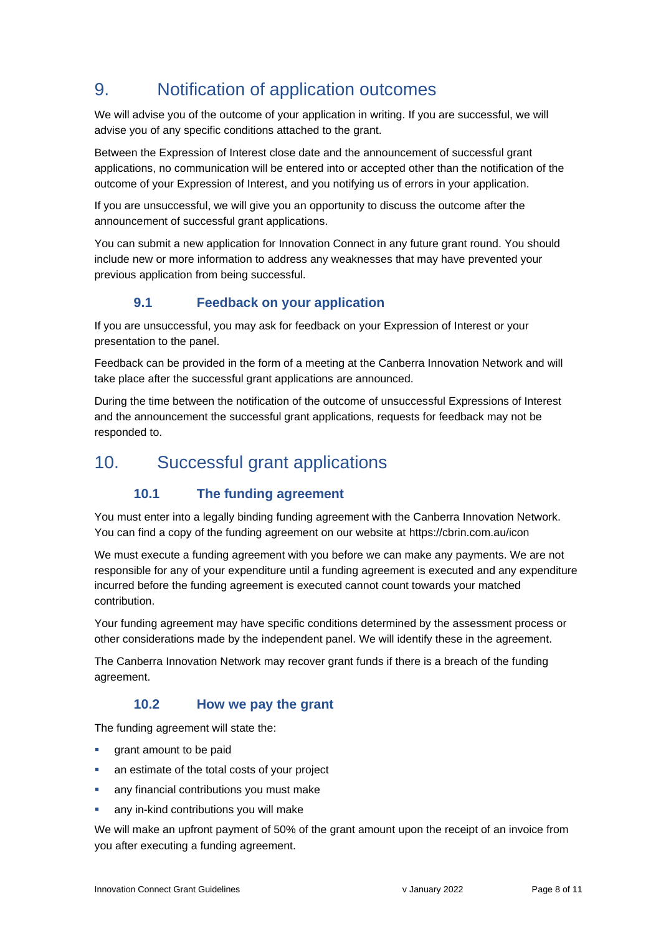# <span id="page-7-0"></span>9. Notification of application outcomes

We will advise you of the outcome of your application in writing. If you are successful, we will advise you of any specific conditions attached to the grant.

Between the Expression of Interest close date and the announcement of successful grant applications, no communication will be entered into or accepted other than the notification of the outcome of your Expression of Interest, and you notifying us of errors in your application.

If you are unsuccessful, we will give you an opportunity to discuss the outcome after the announcement of successful grant applications.

You can submit a new application for Innovation Connect in any future grant round. You should include new or more information to address any weaknesses that may have prevented your previous application from being successful.

## **9.1 Feedback on your application**

<span id="page-7-1"></span>If you are unsuccessful, you may ask for feedback on your Expression of Interest or your presentation to the panel.

Feedback can be provided in the form of a meeting at the Canberra Innovation Network and will take place after the successful grant applications are announced.

During the time between the notification of the outcome of unsuccessful Expressions of Interest and the announcement the successful grant applications, requests for feedback may not be responded to.

# <span id="page-7-3"></span><span id="page-7-2"></span>10. Successful grant applications

## **10.1 The funding agreement**

You must enter into a legally binding funding agreement with the Canberra Innovation Network. You can find a copy of the funding agreement on our website at https://cbrin.com.au/icon

We must execute a funding agreement with you before we can make any payments. We are not responsible for any of your expenditure until a funding agreement is executed and any expenditure incurred before the funding agreement is executed cannot count towards your matched contribution.

Your funding agreement may have specific conditions determined by the assessment process or other considerations made by the independent panel. We will identify these in the agreement.

The Canberra Innovation Network may recover grant funds if there is a breach of the funding agreement.

### **10.2 How we pay the grant**

<span id="page-7-4"></span>The funding agreement will state the:

- **•** grant amount to be paid
- an estimate of the total costs of your project
- **EXECT** any financial contributions you must make
- any in-kind contributions you will make

We will make an upfront payment of 50% of the grant amount upon the receipt of an invoice from you after executing a funding agreement.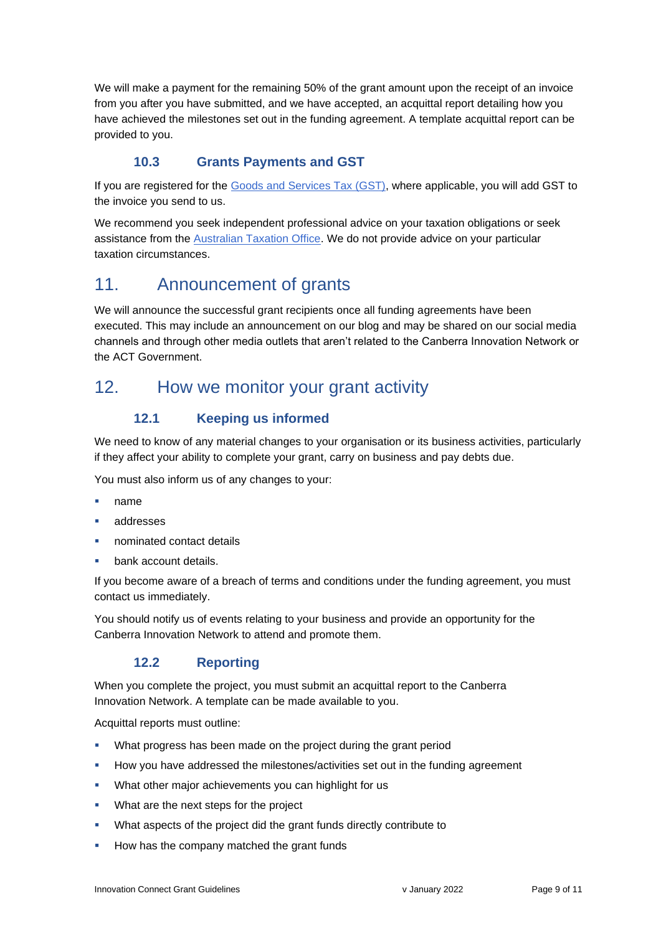We will make a payment for the remaining 50% of the grant amount upon the receipt of an invoice from you after you have submitted, and we have accepted, an acquittal report detailing how you have achieved the milestones set out in the funding agreement. A template acquittal report can be provided to you.

## **10.3 Grants Payments and GST**

<span id="page-8-0"></span>If you are registered for the [Goods and Services Tax \(GST\),](https://www.ato.gov.au/Business/GST/Registering-for-GST/) where applicable, you will add GST to the invoice you send to us.

We recommend you seek independent professional advice on your taxation obligations or seek assistance from the [Australian Taxation Office.](https://www.ato.gov.au/) We do not provide advice on your particular taxation circumstances.

# <span id="page-8-1"></span>11. Announcement of grants

We will announce the successful grant recipients once all funding agreements have been executed. This may include an announcement on our blog and may be shared on our social media channels and through other media outlets that aren't related to the Canberra Innovation Network or the ACT Government.

## <span id="page-8-3"></span><span id="page-8-2"></span>12. How we monitor your grant activity

## **12.1 Keeping us informed**

We need to know of any material changes to your organisation or its business activities, particularly if they affect your ability to complete your grant, carry on business and pay debts due.

You must also inform us of any changes to your:

- name
- addresses
- nominated contact details
- bank account details.

If you become aware of a breach of terms and conditions under the funding agreement, you must contact us immediately.

You should notify us of events relating to your business and provide an opportunity for the Canberra Innovation Network to attend and promote them.

### **12.2 Reporting**

<span id="page-8-4"></span>When you complete the project, you must submit an acquittal report to the Canberra Innovation Network. A template can be made available to you.

Acquittal reports must outline:

- **What progress has been made on the project during the grant period**
- How you have addressed the milestones/activities set out in the funding agreement
- What other major achievements you can highlight for us
- **What are the next steps for the project**
- What aspects of the project did the grant funds directly contribute to
- How has the company matched the grant funds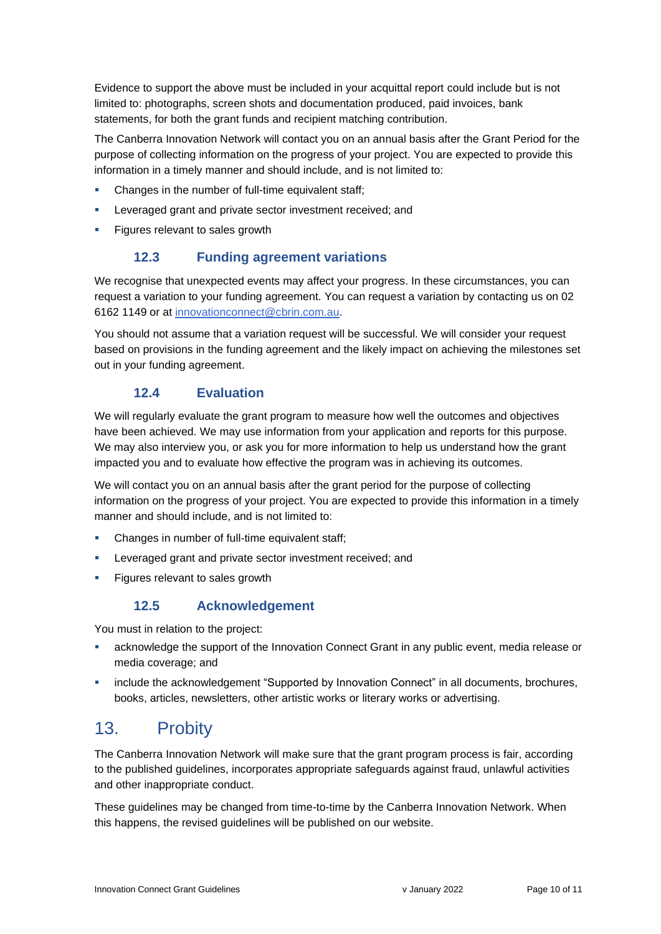Evidence to support the above must be included in your acquittal report could include but is not limited to: photographs, screen shots and documentation produced, paid invoices, bank statements, for both the grant funds and recipient matching contribution.

The Canberra Innovation Network will contact you on an annual basis after the Grant Period for the purpose of collecting information on the progress of your project. You are expected to provide this information in a timely manner and should include, and is not limited to:

- Changes in the number of full-time equivalent staff;
- **EXECTED EXECTED FIGHTS IN A LETTED FIGHTS** Leveraged; and
- <span id="page-9-0"></span>Figures relevant to sales growth

### **12.3 Funding agreement variations**

We recognise that unexpected events may affect your progress. In these circumstances, you can request a variation to your funding agreement. You can request a variation by contacting us on 02 6162 1149 or at [innovationconnect@cbrin.com.au.](mailto:innovationconnect@cbrin.com.au)

You should not assume that a variation request will be successful. We will consider your request based on provisions in the funding agreement and the likely impact on achieving the milestones set out in your funding agreement.

### **12.4 Evaluation**

<span id="page-9-1"></span>We will regularly evaluate the grant program to measure how well the outcomes and objectives have been achieved. We may use information from your application and reports for this purpose. We may also interview you, or ask you for more information to help us understand how the grant impacted you and to evaluate how effective the program was in achieving its outcomes.

We will contact you on an annual basis after the grant period for the purpose of collecting information on the progress of your project. You are expected to provide this information in a timely manner and should include, and is not limited to:

- Changes in number of full-time equivalent staff;
- **EXECTED EXECTED FIGHTS IN LEVERAGE SECTEM** Leveraged grant and private sector investment received; and
- <span id="page-9-2"></span>Figures relevant to sales growth

### **12.5 Acknowledgement**

You must in relation to the project:

- acknowledge the support of the Innovation Connect Grant in any public event, media release or media coverage; and
- **•** include the acknowledgement "Supported by Innovation Connect" in all documents, brochures, books, articles, newsletters, other artistic works or literary works or advertising.

# <span id="page-9-3"></span>13. Probity

The Canberra Innovation Network will make sure that the grant program process is fair, according to the published guidelines, incorporates appropriate safeguards against fraud, unlawful activities and other inappropriate conduct.

These guidelines may be changed from time-to-time by the Canberra Innovation Network. When this happens, the revised guidelines will be published on our website.